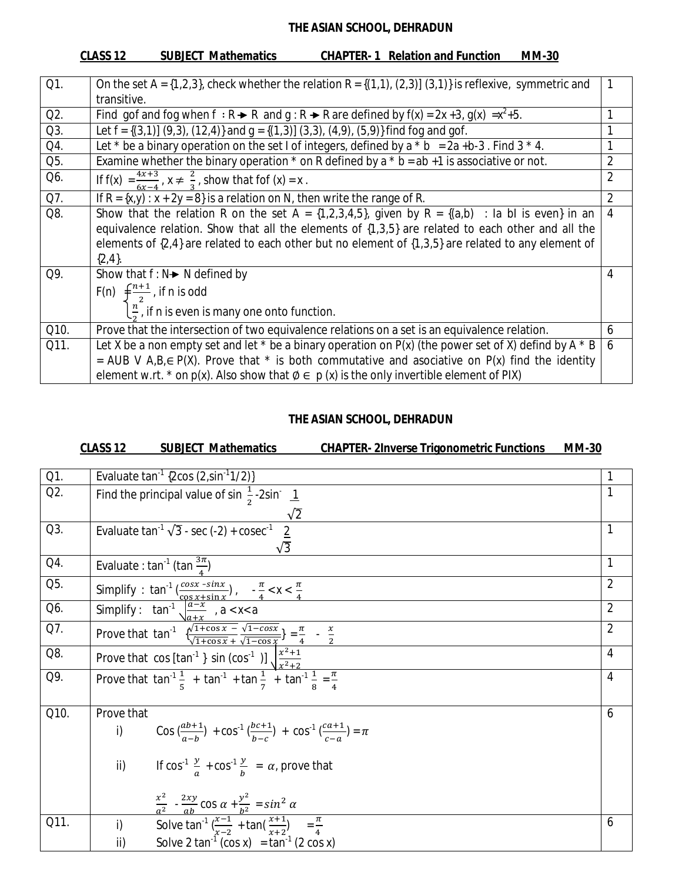|      | CLASS 12<br><b>SUBJECT Mathematics</b><br><b>CHAPTER-1 Relation and Function</b><br><b>MM-30</b>                                                                                                                                                                                                                                        |                |
|------|-----------------------------------------------------------------------------------------------------------------------------------------------------------------------------------------------------------------------------------------------------------------------------------------------------------------------------------------|----------------|
| Q1.  |                                                                                                                                                                                                                                                                                                                                         |                |
|      | On the set A = $\{1,2,3\}$ , check whether the relation R = $\{(1,1), (2,3)\}$ $(3,1)\}$ is reflexive, symmetric and<br>transitive.                                                                                                                                                                                                     |                |
|      |                                                                                                                                                                                                                                                                                                                                         |                |
| Q2.  | Find gof and fog when $f : R \rightarrow R$ and $q : R \rightarrow R$ are defined by $f(x) = 2x + 3$ , $g(x) = x^2 + 5$ .                                                                                                                                                                                                               |                |
| Q3.  | Let $f = \{(3,1)\}$ (9,3), (12,4)} and $g = \{(1,3)\}$ (3,3), (4,9), (5,9)} find fog and gof.                                                                                                                                                                                                                                           | 1              |
| Q4.  | Let $*$ be a binary operation on the set I of integers, defined by a $*$ b = 2a +b-3. Find 3 $*$ 4.                                                                                                                                                                                                                                     |                |
| Q5.  | Examine whether the binary operation $*$ on R defined by a $*$ b = ab +1 is associative or not.                                                                                                                                                                                                                                         | $\overline{2}$ |
| Q6.  | If $f(x) = \frac{4x+3}{6x-4}$ , $x \neq \frac{2}{3}$ , show that fof $(x) = x$ .                                                                                                                                                                                                                                                        | $\overline{2}$ |
| Q7.  | If $R = {x,y}$ : $x + 2y = 8$ } is a relation on N, then write the range of R.                                                                                                                                                                                                                                                          | $\overline{2}$ |
| Q8.  | Show that the relation R on the set A = $\{1,2,3,4,5\}$ , given by R = $\{(a,b)$ : la bl is even} in an<br>equivalence relation. Show that all the elements of {1,3,5} are related to each other and all the<br>elements of $\{2,4\}$ are related to each other but no element of $\{1,3,5\}$ are related to any element of<br>${2,4}.$ | $\overline{4}$ |
| Q9.  | Show that $f: N \rightarrow N$ defined by<br>F(n) $\int \frac{n+1}{2}$ , if n is odd<br>$\left\lfloor \frac{n}{2} \right\rfloor$ , if n is even is many one onto function.                                                                                                                                                              | 4              |
| Q10. | Prove that the intersection of two equivalence relations on a set is an equivalence relation.                                                                                                                                                                                                                                           | 6              |
| Q11. | Let X be a non empty set and let $*$ be a binary operation on $P(x)$ (the power set of X) defind by A $*$ B<br>= AUB V A, B, $\in$ P(X). Prove that $*$ is both commutative and asociative on P(x) find the identity<br>element w.rt. * on $p(x)$ . Also show that $\emptyset \in p(x)$ is the only invertible element of PIX)          | 6              |

## **THE ASIAN SCHOOL, DEHRADUN**

# **CLASS 12 SUBJECT Mathematics CHAPTER- 2Inverse Trigonometric Functions MM-30**

| Q1.  | Evaluate $\tan^{-1}$ {2cos (2,sin <sup>-1</sup> 1/2)}                                                                                                                                                                   |                |
|------|-------------------------------------------------------------------------------------------------------------------------------------------------------------------------------------------------------------------------|----------------|
| Q2.  | Find the principal value of sin $\frac{1}{2}$ -2sin 1                                                                                                                                                                   | 1              |
|      | $\sqrt{2}$                                                                                                                                                                                                              |                |
| Q3.  | Evaluate $\tan^{-1}\sqrt{3}$ - sec (-2) + cosec <sup>-1</sup> 2                                                                                                                                                         | 1              |
|      |                                                                                                                                                                                                                         |                |
| Q4.  | Evaluate : tan <sup>-1</sup> (tan $\frac{3\pi}{4}$ )                                                                                                                                                                    | 1              |
| Q5.  | Simplify : $\tan^{-1}\left(\frac{\cos x - \sin x}{\cos x + \sin x}\right)$ , $-\frac{\pi}{4} < x < \frac{\pi}{4}$<br>Simplify : $\tan^{-1}\sqrt{\frac{a - x}{a + x}}$ , $a < x < a$                                     | $\overline{2}$ |
| Q6.  |                                                                                                                                                                                                                         | $\overline{2}$ |
| Q7.  | Prove that $\tan^{-1} \frac{\sqrt{1 + \cos x} - \sqrt{1 - \cos x}}{\sqrt{1 + \cos x} + \sqrt{1 - \cos x}} = \frac{\pi}{4} - \frac{x}{2}$<br>Prove that $\cos [\tan^{-1} \sin (\cos^{-1} \sin \frac{x^2 + 1}{x^2 + 2})]$ | $\overline{2}$ |
| Q8.  |                                                                                                                                                                                                                         | $\overline{4}$ |
| Q9.  | Prove that $\tan^{-1}\frac{1}{5} + \tan^{-1} + \tan\frac{1}{7} + \tan^{-1}\frac{1}{9} = \frac{\pi}{4}$                                                                                                                  | 4              |
| Q10. | Prove that                                                                                                                                                                                                              | 6              |
|      | Cos $\left(\frac{ab+1}{a+b}\right)$ + cos <sup>-1</sup> $\left(\frac{bc+1}{bc-a}\right)$ + cos <sup>-1</sup> $\left(\frac{ca+1}{ca-a}\right)$ = $\pi$<br>i)                                                             |                |
|      | If $\cos^{-1} \frac{y}{a} + \cos^{-1} \frac{y}{b} = \alpha$ , prove that<br>$\mathsf{ii}$                                                                                                                               |                |
|      | $rac{x^2}{a^2}$ - $rac{2xy}{ab}$ cos $\alpha + \frac{y^2}{b^2} = \sin^2 \alpha$                                                                                                                                         |                |
| Q11. | Solve $\tan^{-1}(\frac{x-1}{x-2} + \tan(\frac{x+1}{x+2}) = \frac{\pi}{4})$<br>i)                                                                                                                                        | 6              |
|      | $\overline{ii}$<br>Solve 2 tan <sup>1</sup> (cos x) = $\tan^{-1}(2 \cos x)$                                                                                                                                             |                |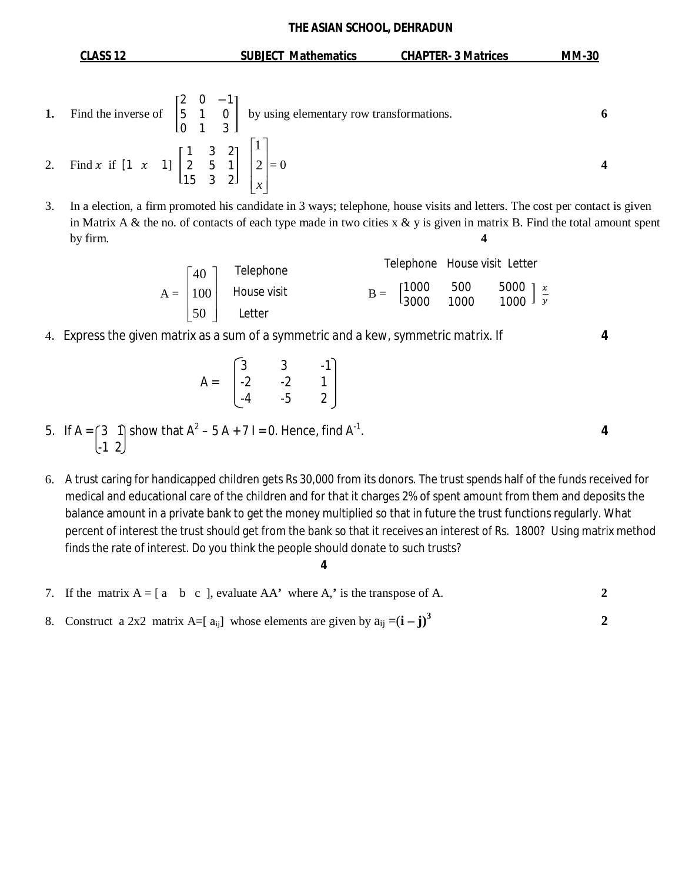| CLASS 12                                                                                                                                                                | <b>SUBJECT Mathematics</b> | <b>CHAPTER- 3 Matrices</b> | <b>MM-30</b> |  |
|-------------------------------------------------------------------------------------------------------------------------------------------------------------------------|----------------------------|----------------------------|--------------|--|
| Find the inverse of $\begin{bmatrix} 2 & 0 & -1 \\ 5 & 1 & 0 \\ 0 & 1 & 3 \end{bmatrix}$ by using elementary row transformations.                                       |                            |                            | 6            |  |
| 2. Find x if $\begin{bmatrix} 1 & x & 1 \end{bmatrix} \begin{bmatrix} 1 & 3 & 2 \\ 2 & 5 & 1 \\ 15 & 3 & 2 \end{bmatrix} \begin{bmatrix} 1 \\ 2 \\ x \end{bmatrix} = 0$ |                            |                            |              |  |

3. In a election, a firm promoted his candidate in 3 ways; telephone, house visits and letters. The cost per contact is given in Matrix A & the no. of contacts of each type made in two cities  $x \& y$  is given in matrix B. Find the total amount spent by firm. **4**

| \n $A = \begin{bmatrix} 40 \\ 100 \\ 50 \end{bmatrix}$ \n           | \n        Telephone |
|---------------------------------------------------------------------|---------------------|
| \n $E = \begin{bmatrix} 1000 & 500 \\ 3000 & 1000 \end{bmatrix}$ \n |                     |
| \n $E = \begin{bmatrix} 1000 & 500 \\ 3000 & 1000 \end{bmatrix}$ \n |                     |
| \n $E = \begin{bmatrix} 1000 & 500 \\ 3000 & 1000 \end{bmatrix}$ \n |                     |

4. Express the given matrix as a sum of a symmetric and a kew, symmetric matrix. If **4**

$$
A = \begin{bmatrix} 3 & 3 & -1 \\ -2 & -2 & 1 \\ -4 & -5 & 2 \end{bmatrix}
$$

- 5. If A =  $\begin{pmatrix} 3 & 1 \end{pmatrix}$  show that A<sup>2</sup> 5 A + 7 I = 0. Hence, find A<sup>-1</sup>  $[-1 \ 2]$
- 6. A trust caring for handicapped children gets Rs 30,000 from its donors. The trust spends half of the funds received for medical and educational care of the children and for that it charges 2% of spent amount from them and deposits the balance amount in a private bank to get the money multiplied so that in future the trust functions regularly. What percent of interest the trust should get from the bank so that it receives an interest of Rs. 1800? Using matrix method finds the rate of interest. Do you think the people should donate to such trusts?

7. If the matrix 
$$
A = [a \ b \ c]
$$
, evaluate  $AA'$  where A,' is the transpose of A.

8. Construct a 2x2 matrix A=[ $a_{ij}$ ] whose elements are given by  $a_{ij} = (i - j)^3$ **2**

**4**

. **4**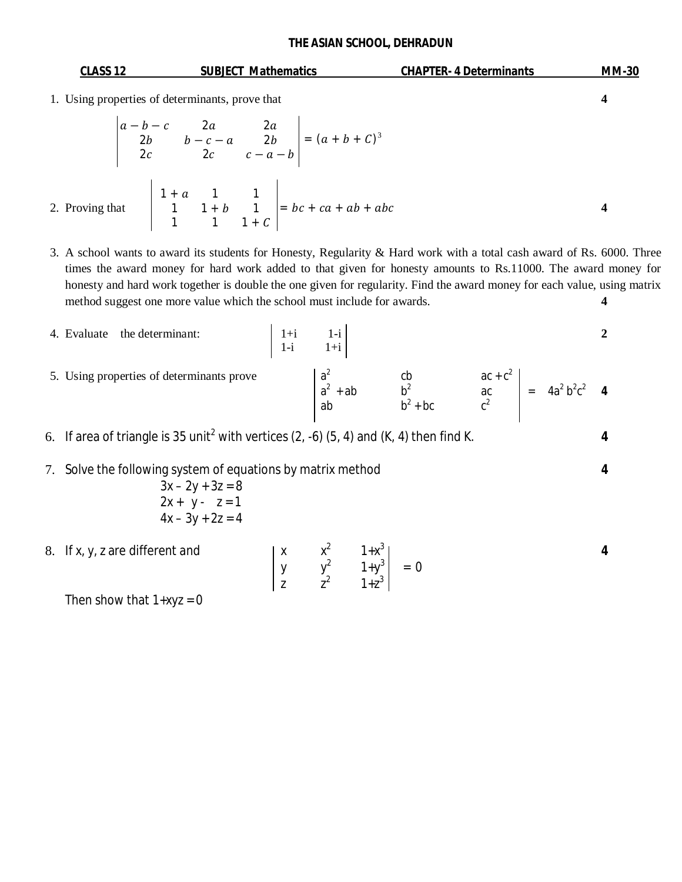| CLASS 12 | <b>SUBJECT Mathematics</b>                                                                                     | <b>CHAPTER- 4 Determinants</b> | <b>MM-30</b> |
|----------|----------------------------------------------------------------------------------------------------------------|--------------------------------|--------------|
|          | 1. Using properties of determinants, prove that                                                                |                                |              |
|          | $\begin{vmatrix} a-b-c & 2a & 2a \\ 2b & b-c-a & 2b \\ 2c & 2c & c-a-b \end{vmatrix} = (a+b+C)^3$              |                                |              |
|          | 2. Proving that $\begin{vmatrix} 1+a & 1 & 1 \\ 1 & 1+b & 1 \\ 1 & 1 & 1+c \end{vmatrix} = bc + ca + ab + abc$ |                                |              |

3. A school wants to award its students for Honesty, Regularity & Hard work with a total cash award of Rs. 6000. Three times the award money for hard work added to that given for honesty amounts to Rs.11000. The award money for honesty and hard work together is double the one given for regularity. Find the award money for each value, using matrix method suggest one more value which the school must include for awards. **4** 

- 4. Evaluate the determinant:  $1+i$  1-i 2  $\begin{vmatrix} 1+i & 1-i \\ 1-i & 1+i \end{vmatrix}$ 5. Using properties of determinants prove  $2$  cb  $ac + c^2$  $a^2 + ab$  b<sup>2</sup> ac  $= 4a^2b^2c^2$  4 ab  $b^2 + bc$   $c^2$ 6. If area of triangle is 35 unit<sup>2</sup> with vertices  $(2, -6)$   $(5, 4)$  and  $(K, 4)$  then find K.
- 7. Solve the following system of equations by matrix method **4**

$$
3x - 2y + 3z = 8
$$
  
2x + y - z = 1  

$$
4x - 3y + 2z = 4
$$

8. If  $x, y, z$  are different and <sup>2</sup>  $1+x^3$ **4**  $\begin{vmatrix} y & y^2 & 1+y^3 \end{vmatrix} = 0$ z  $z^2$  1+ $z^3$ 

Then show that  $1+xyz = 0$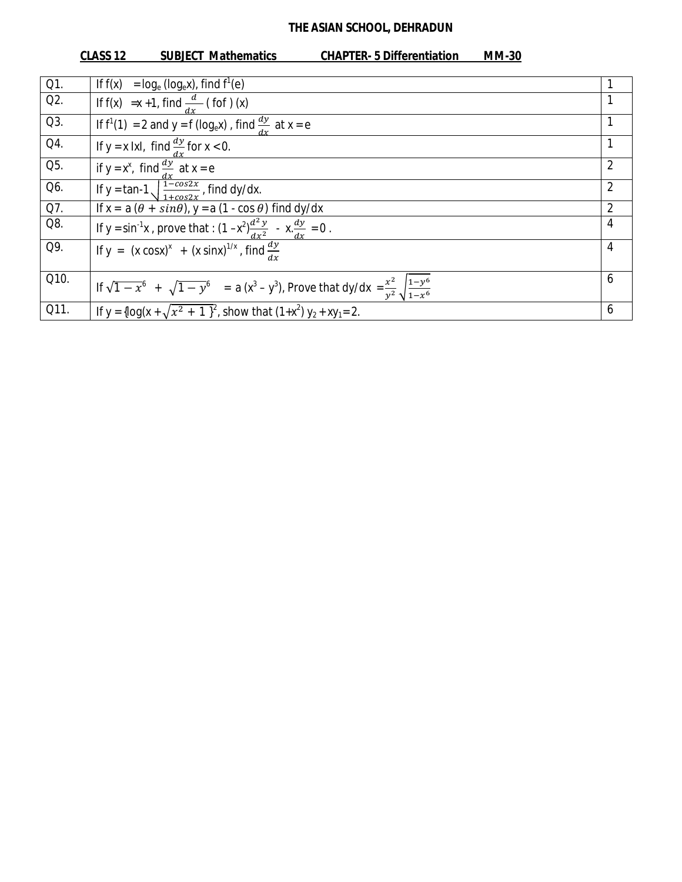|      | <b>CLASS 12</b><br><b>SUBJECT Mathematics</b>                                                                                                               | <b>CHAPTER-5 Differentiation</b><br><b>MM-30</b> |
|------|-------------------------------------------------------------------------------------------------------------------------------------------------------------|--------------------------------------------------|
|      |                                                                                                                                                             |                                                  |
| Q1.  | $=$ log <sub>e</sub> (log <sub>e</sub> x), find f <sup>1</sup> (e)<br>If $f(x)$                                                                             |                                                  |
| Q2.  | If f(x) = x +1, find $\frac{d}{dx}$ (fof)(x)                                                                                                                |                                                  |
| Q3.  | If $f^1(1) = 2$ and $y = f(log_e x)$ , find $\frac{dy}{dx}$ at $x = e$                                                                                      |                                                  |
| Q4.  | If y = x lxl, find $\frac{dy}{dx}$ for x < 0.                                                                                                               |                                                  |
| Q5.  | if $y = x^x$ , find $\frac{dy}{dx}$ at $x = e$                                                                                                              | 2                                                |
| Q6.  | If y = tan-1 $\sqrt{\frac{1-cos2x}{1+cos2x}}$ , find dy/dx.                                                                                                 | $\overline{2}$                                   |
| Q7.  | If $x = a(\theta + sin\theta)$ , $y = a(1 - cos \theta)$ find dy/dx                                                                                         | 2                                                |
| Q8.  | If y = sin <sup>-1</sup> x, prove that : $(1-x^2)\frac{d^2 y}{dx^2} - x \frac{dy}{dx} = 0$ .<br>If y = $(x cosx)^x + (x sinx)^{1/x}$ , find $\frac{dy}{dx}$ | 4                                                |
| Q9.  |                                                                                                                                                             | 4                                                |
| Q10. | If $\sqrt{1-x^6}$ + $\sqrt{1-y^6}$ = a $(x^3-y^3)$ , Prove that dy/dx = $\frac{x^2}{y^2}\sqrt{\frac{1-y^6}{1-x^6}}$                                         | 6                                                |
| Q11. | If $y = \{\log(x + \sqrt{x^2 + 1})^2\}$ , show that $(1+x^2)y_2 + xy_1 = 2$ .                                                                               | 6                                                |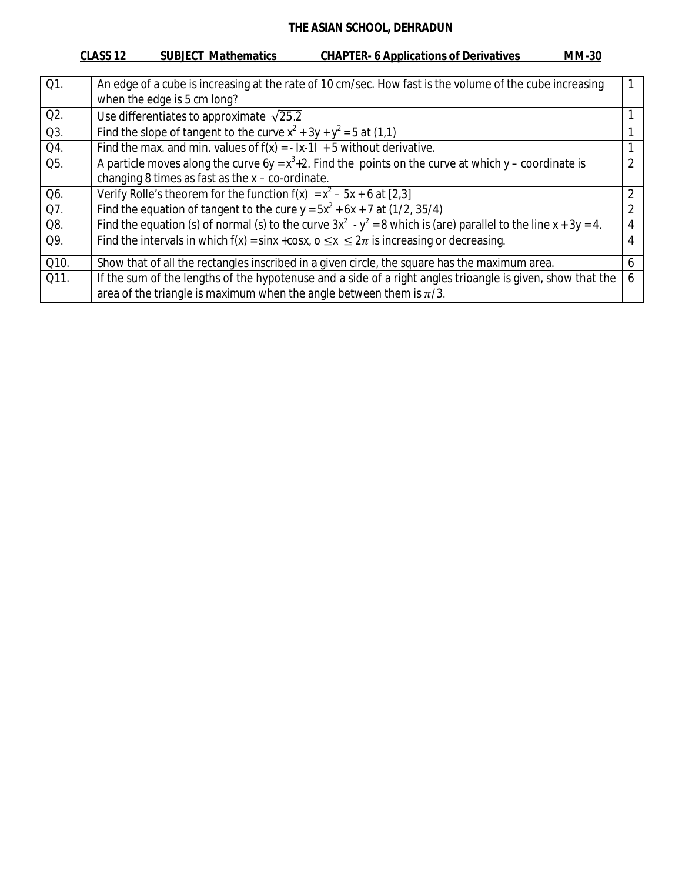## **CLASS 12 SUBJECT Mathematics CHAPTER- 6 Applications of Derivatives MM-30**

| Q1.  | An edge of a cube is increasing at the rate of 10 cm/sec. How fast is the volume of the cube increasing              |                |
|------|----------------------------------------------------------------------------------------------------------------------|----------------|
|      | when the edge is 5 cm long?                                                                                          |                |
| Q2.  | Use differentiates to approximate $\sqrt{25.2}$                                                                      |                |
| Q3.  | Find the slope of tangent to the curve $x^2 + 3y + y^2 = 5$ at (1,1)                                                 |                |
| Q4.  | Find the max. and min. values of $f(x) = -1x-11 + 5$ without derivative.                                             |                |
| Q5.  | A particle moves along the curve $6y = x^3 + 2$ . Find the points on the curve at which y – coordinate is            | $\mathfrak{D}$ |
|      | changing 8 times as fast as the $x - co$ -ordinate.                                                                  |                |
| Q6.  | Verify Rolle's theorem for the function $f(x) = x^2 - 5x + 6$ at [2,3]                                               | $\overline{2}$ |
| Q7.  | Find the equation of tangent to the cure $y = 5x^2 + 6x + 7$ at (1/2, 35/4)                                          | 2              |
| Q8.  | Find the equation (s) of normal (s) to the curve $3x^2 - y^2 = 8$ which is (are) parallel to the line $x + 3y = 4$ . | 4              |
| Q9.  | Find the intervals in which $f(x) = \sin x + \cos x$ , $0 \le x \le 2\pi$ is increasing or decreasing.               | 4              |
| Q10. | Show that of all the rectangles inscribed in a given circle, the square has the maximum area.                        | 6              |
| Q11. | If the sum of the lengths of the hypotenuse and a side of a right angles trioangle is given, show that the           | 6              |
|      | area of the triangle is maximum when the angle between them is $\pi/3$ .                                             |                |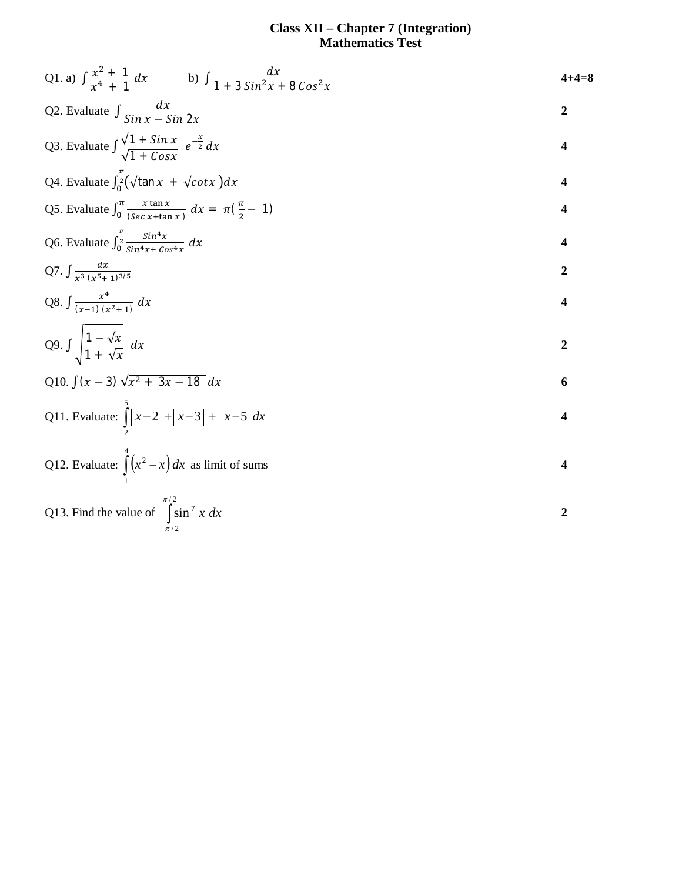#### **Class XII – Chapter 7 (Integration) Mathematics Test**

Q1. a) 
$$
\int \frac{x^2 + 1}{x^4 + 1} dx
$$
 b)  $\int \frac{dx}{1 + 3 \sin^2 x + 8 \cos^2 x}$   
\nQ2. Evaluate  $\int \frac{dx}{\sqrt{1 + \sin x}} = \frac{2}{\sqrt{1 + \cos x}} = \frac{2}{x}$   
\nQ3. Evaluate  $\int \frac{\sqrt{1 + \sin x}}{\sqrt{1 + \cos x}} e^{-\frac{x}{2}} dx$   
\nQ4. Evaluate  $\int_0^{\frac{\pi}{2}} (\sqrt{\tan x} + \sqrt{\cot x}) dx$   
\nQ5. Evaluate  $\int_0^{\frac{\pi}{2}} \frac{\sin x}{(\sec x + \tan x)} dx = \pi(\frac{\pi}{2} - 1)$   
\nQ6. Evaluate  $\int_0^{\frac{\pi}{2}} \frac{\sin^4 x}{\sec x + \tan x} dx$   
\nQ7.  $\int \frac{dx}{x^3 (x^5 + 1)^{3/5}}$   
\nQ8.  $\int \frac{x}{(x - 1)(x^2 + 1)} dx$   
\nQ9.  $\int \sqrt{\frac{1 - \sqrt{x}}{1 + \sqrt{x}}} dx$   
\nQ10.  $\int (x - 3) \sqrt{x^2 + 3x - 18} dx$   
\nQ11. Evaluate:  $\int_2^{\frac{\pi}{2}} |x - 2| + |x - 3| + |x - 5| dx$   
\nQ12. Evaluate:  $\int_2^{\frac{\pi}{2}} |x - 2| + |x - 3| + |x - 5| dx$   
\nQ13. Find the value of  $\int_{-\pi/2}^{\pi/2} \sin^7 x dx$   
\n2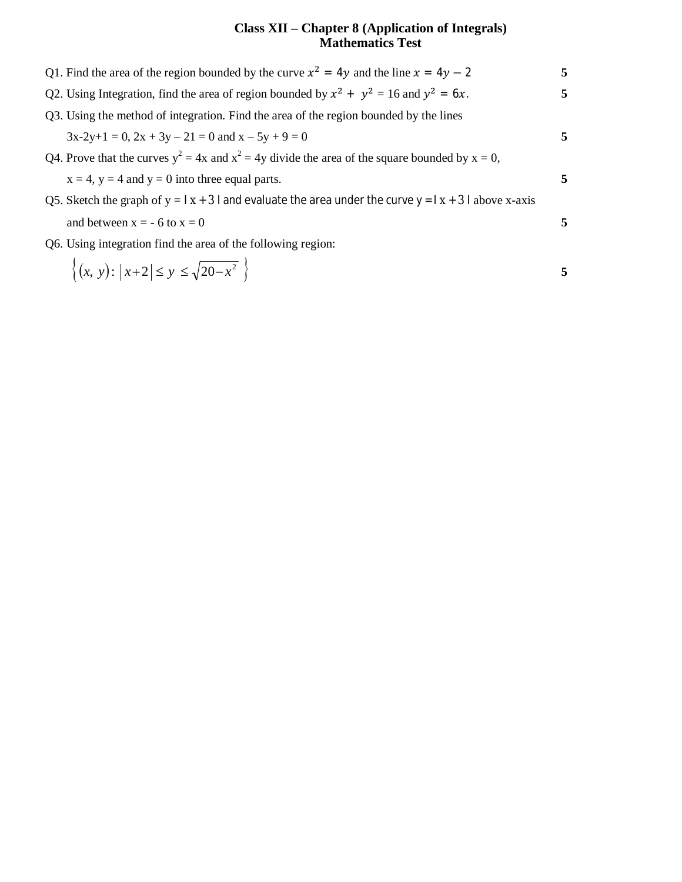#### **Class XII – Chapter 8 (Application of Integrals) Mathematics Test**

| Q1. Find the area of the region bounded by the curve $x^2 = 4y$ and the line $x = 4y - 2$              | 5 |
|--------------------------------------------------------------------------------------------------------|---|
| Q2. Using Integration, find the area of region bounded by $x^2 + y^2 = 16$ and $y^2 = 6x$ .            | 5 |
| Q3. Using the method of integration. Find the area of the region bounded by the lines                  |   |
| $3x-2y+1 = 0$ , $2x + 3y - 21 = 0$ and $x - 5y + 9 = 0$                                                | 5 |
| Q4. Prove that the curves $y^2 = 4x$ and $x^2 = 4y$ divide the area of the square bounded by $x = 0$ , |   |
| $x = 4$ , $y = 4$ and $y = 0$ into three equal parts.                                                  | 5 |
| Q5. Sketch the graph of $y =  x + 3 $ and evaluate the area under the curve $y =  x + 3 $ above x-axis |   |
| and between $x = -6$ to $x = 0$                                                                        |   |
| Q6. Using integration find the area of the following region:                                           |   |

$$
\{(x, y) : |x+2| \le y \le \sqrt{20 - x^2} \}
$$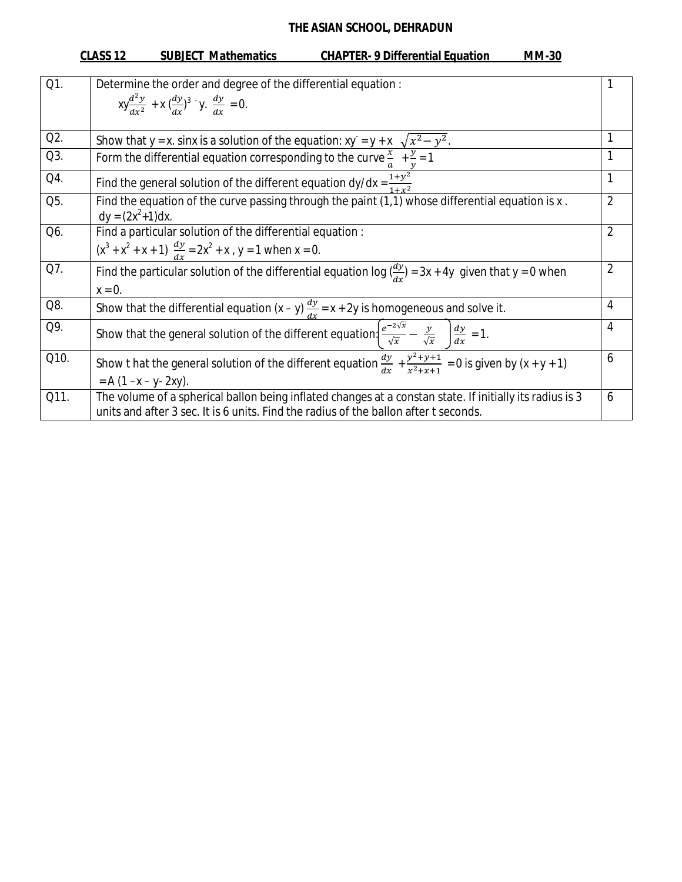#### **CLASS 12 SUBJECT Mathematics CHAPTER- 9 Differential Equation MM-30** Q1. Determine the order and degree of the differential equation :  $xy \frac{d^2y}{dx^2}$  $rac{d^2y}{dx^2}$  + x  $\left(\frac{dy}{dx}\right)^3$  y.  $\frac{dy}{dx}$  $\frac{dy}{dx} = 0.$ 1 Q2. Show that y = x. sinx is a solution of the equation: xy = y + x  $\sqrt{x^2-y}$  $\overline{2}$ . 1 Q3. Form the differential equation corresponding to the curve  $\frac{x}{a} + \frac{y}{y}$  $\mathcal{Y}$  $= 1$  1 Q4. Find the general solution of the different equation dy/dx =  $\frac{1+y^2}{1+x^2}$  $1+x^2$ 1  $\overline{Q5}$ . Find the equation of the curve passing through the paint (1,1) whose differential equation is x.  $dy = (2x^2 + 1)dx$ . 2 Q6. Find a particular solution of the differential equation :  $(x^{3} + x^{2} + x + 1)$   $\frac{dy}{dx} = 2x^{2} + x$ , y = 1 when x = 0. 2 Q7. Find the particular solution of the differential equation log  $\frac{dy}{dx}$  = 3x + 4y given that y = 0 when  $x = 0$ . 2 Q8. Show that the differential equation  $(x - y) \frac{dy}{dx} = x + 2y$  is homogeneous and solve it. Q9. Show that the general solution of the different equation.  $e^{-2\sqrt{x}}$  $rac{-2\sqrt{x}}{\sqrt{x}} - \frac{y}{\sqrt{y}}$  $\frac{y}{\sqrt{x}}$   $\int \frac{dy}{dx}$  $rac{dy}{dx} = 1.$  4 Q10. Show t hat the general solution of the different equation  $\frac{dy}{dx} + \frac{y^2 + y + 1}{x^2 + x + 1}$  $\frac{y+y+1}{x^2+x+1} = 0$  is given by  $(x + y + 1)$  $= A (1 - x - y - 2xy)$ . 6 Q11. The volume of a spherical ballon being inflated changes at a constan state. If initially its radius is 3 units and after 3 sec. It is 6 units. Find the radius of the ballon after t seconds. 6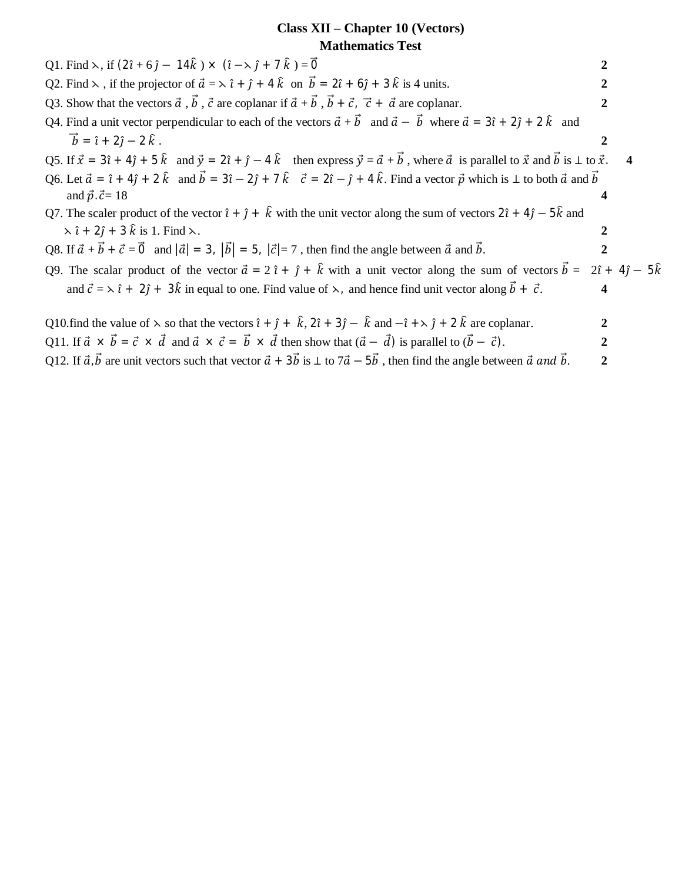## **Class XII – Chapter 10 (Vectors) Mathematics Test**

| Q1. Find $\lambda$ , if $(2\hat{i} + 6\hat{j} - 14\hat{k}) \times (\hat{i} - \lambda \hat{j} + 7\hat{k}) = \vec{0}$                                                                                                           |                                  |                         |
|-------------------------------------------------------------------------------------------------------------------------------------------------------------------------------------------------------------------------------|----------------------------------|-------------------------|
| Q2. Find $\lambda$ , if the projector of $\vec{a} = \lambda \hat{i} + \hat{j} + 4 \hat{k}$ on $\vec{b} = 2\hat{i} + 6\hat{j} + 3\hat{k}$ is 4 units.                                                                          |                                  |                         |
| Q3. Show that the vectors $\vec{a}$ , $\vec{b}$ , $\vec{c}$ are coplanar if $\vec{a} + \vec{b}$ , $\vec{b} + \vec{c}$ , $\vec{c} + \vec{a}$ are coplanar.                                                                     | 2                                |                         |
| Q4. Find a unit vector perpendicular to each of the vectors $\vec{a} + \vec{b}$ and $\vec{a} - \vec{b}$ where $\vec{a} = 3\hat{i} + 2\hat{j} + 2\hat{k}$ and                                                                  |                                  |                         |
| $\vec{b} = \hat{i} + 2\hat{j} - 2\hat{k}$ .                                                                                                                                                                                   |                                  |                         |
| Q5. If $\vec{x} = 3\hat{i} + 4\hat{j} + 5\hat{k}$ and $\vec{y} = 2\hat{i} + \hat{j} - 4\hat{k}$ then express $\vec{y} = \vec{a} + \vec{b}$ , where $\vec{a}$ is parallel to $\vec{x}$ and $\vec{b}$ is $\perp$ to $\vec{x}$ . |                                  | $\overline{\mathbf{4}}$ |
| Q6. Let $\vec{a} = \hat{i} + 4\hat{j} + 2\hat{k}$ and $\vec{b} = 3\hat{i} - 2\hat{j} + 7\hat{k}$ $\vec{c} = 2\hat{i} - \hat{j} + 4\hat{k}$ . Find a vector $\vec{p}$ which is $\perp$ to both $\vec{a}$ and $\vec{b}$         |                                  |                         |
| and $\vec{p} \cdot \vec{c} = 18$                                                                                                                                                                                              |                                  |                         |
| Q7. The scaler product of the vector $\hat{i} + \hat{j} + \hat{k}$ with the unit vector along the sum of vectors $2\hat{i} + 4\hat{j} - 5\hat{k}$ and                                                                         |                                  |                         |
| $\lambda \hat{i} + 2\hat{j} + 3\hat{k}$ is 1. Find $\lambda$ .                                                                                                                                                                |                                  |                         |
| Q8. If $\vec{a} + \vec{b} + \vec{c} = \vec{0}$ and $ \vec{a}  = 3$ , $ \vec{b}  = 5$ , $ \vec{c}  = 7$ , then find the angle between $\vec{a}$ and $\vec{b}$ .                                                                | 2                                |                         |
| Q9. The scalar product of the vector $\vec{a} = 2 \hat{i} + \hat{j} + \hat{k}$ with a unit vector along the sum of vectors $\vec{b} =$                                                                                        | $2\hat{i} + 4\hat{j} - 5\hat{k}$ |                         |
| and $\vec{c} = \lambda \hat{i} + 2\hat{j} + 3\hat{k}$ in equal to one. Find value of $\lambda$ , and hence find unit vector along $\vec{b} + \vec{c}$ .                                                                       | 4                                |                         |
| Q10.find the value of $\lambda$ so that the vectors $\hat{i} + \hat{j} + \hat{k}$ , $2\hat{i} + 3\hat{j} - \hat{k}$ and $-\hat{i} + \lambda \hat{j} + 2\hat{k}$ are coplanar.                                                 |                                  |                         |
| Q11. If $\vec{a} \times \vec{b} = \vec{c} \times \vec{d}$ and $\vec{a} \times \vec{c} = \vec{b} \times \vec{d}$ then show that $(\vec{a} - \vec{d})$ is parallel to $(\vec{b} - \vec{c})$ .                                   | 2                                |                         |
| Q12. If $\vec{a}$ , $\vec{b}$ are unit vectors such that vector $\vec{a}$ + $3\vec{b}$ is $\perp$ to $7\vec{a} - 5\vec{b}$ , then find the angle between $\vec{a}$ and $\vec{b}$ .                                            | 2                                |                         |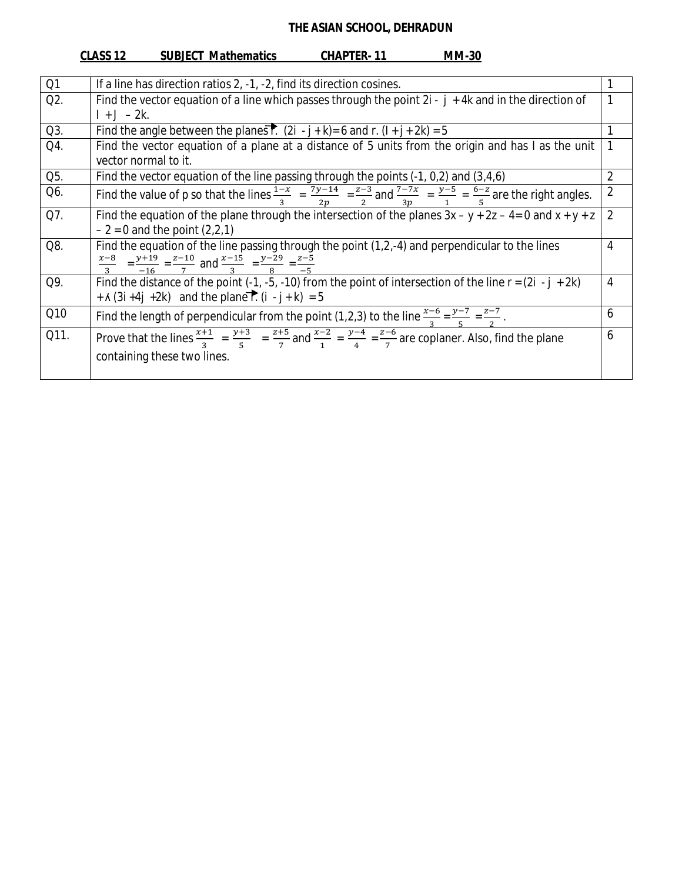|      | <u>CLASS 12</u><br><b>SUBJECT Mathematics</b><br><b>CHAPTER-11</b><br><b>MM-30</b>                                                                                   |                |
|------|----------------------------------------------------------------------------------------------------------------------------------------------------------------------|----------------|
|      |                                                                                                                                                                      |                |
| Q1   | If a line has direction ratios 2, -1, -2, find its direction cosines.                                                                                                | 1              |
| Q2.  | Find the vector equation of a line which passes through the point $2i - j + 4k$ and in the direction of                                                              | 1              |
|      | $1 + J - 2k$ .                                                                                                                                                       |                |
| Q3.  | Find the angle between the planes $\overline{r}$ . (2i - j + k) = 6 and r. (l + j + 2k) = 5                                                                          | 1              |
| Q4.  | Find the vector equation of a plane at a distance of 5 units from the origin and has I as the unit                                                                   | 1              |
|      | vector normal to it.                                                                                                                                                 |                |
| Q5.  | Find the vector equation of the line passing through the points $(-1, 0, 2)$ and $(3, 4, 6)$                                                                         | $\overline{2}$ |
| Q6.  | Find the value of p so that the lines $\frac{1-x}{3} = \frac{7y-14}{2p} = \frac{z-3}{2}$ and $\frac{7-7x}{3p} = \frac{y-5}{1} = \frac{6-z}{5}$ are the right angles. | $\overline{2}$ |
| Q7.  | Find the equation of the plane through the intersection of the planes $3x - y + 2z - 4 = 0$ and $x + y + z$                                                          | $\overline{2}$ |
|      | $-2 = 0$ and the point $(2,2,1)$                                                                                                                                     |                |
| Q8.  | Find the equation of the line passing through the point $(1,2,-4)$ and perpendicular to the lines                                                                    | $\overline{4}$ |
|      | $\frac{x-8}{3}$ = $\frac{y+19}{-16}$ = $\frac{z-10}{7}$ and $\frac{x-15}{3}$ = $\frac{y-29}{8}$ = $\frac{z-5}{-5}$                                                   |                |
| Q9.  | Find the distance of the point (-1, -5, -10) from the point of intersection of the line $r = (2i - j + 2k)$                                                          | $\overline{4}$ |
|      | + $\lambda$ (3i +4j +2k) and the plane $\overrightarrow{r}$ . (i - j + k) = 5                                                                                        |                |
| Q10  |                                                                                                                                                                      | 6              |
|      | Find the length of perpendicular from the point (1,2,3) to the line $\frac{x-6}{3} = \frac{y-7}{5} = \frac{z-7}{2}$ .                                                |                |
| Q11. | Prove that the lines $\frac{x+1}{3} = \frac{y+3}{5} = \frac{z+5}{7}$ and $\frac{x-2}{1} = \frac{y-4}{4} = \frac{z-6}{7}$ are coplaner. Also, find the plane          | 6              |
|      | containing these two lines.                                                                                                                                          |                |
|      |                                                                                                                                                                      |                |
|      |                                                                                                                                                                      |                |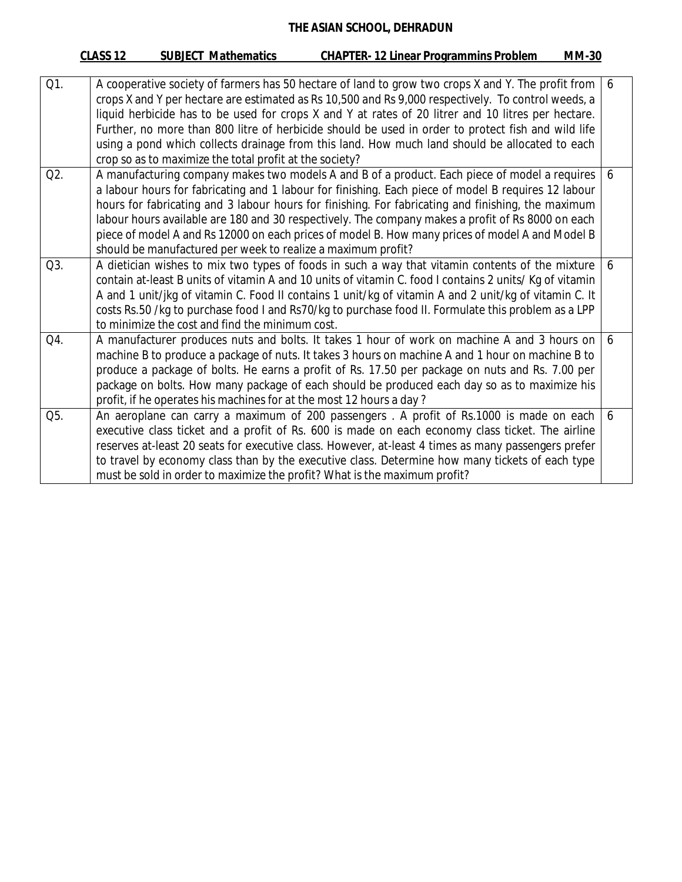|                  | <b>CHAPTER-12 Linear Programmins Problem</b><br><b>SUBJECT Mathematics</b><br>CLASS <sub>12</sub><br><b>MM-30</b>    |   |
|------------------|----------------------------------------------------------------------------------------------------------------------|---|
|                  |                                                                                                                      |   |
| Q1.              | A cooperative society of farmers has 50 hectare of land to grow two crops X and Y. The profit from<br>6 <sup>6</sup> |   |
|                  | crops X and Y per hectare are estimated as Rs 10,500 and Rs 9,000 respectively. To control weeds, a                  |   |
|                  | liquid herbicide has to be used for crops X and Y at rates of 20 litrer and 10 litres per hectare.                   |   |
|                  | Further, no more than 800 litre of herbicide should be used in order to protect fish and wild life                   |   |
|                  | using a pond which collects drainage from this land. How much land should be allocated to each                       |   |
|                  | crop so as to maximize the total profit at the society?                                                              |   |
| Q <sub>2</sub> . | A manufacturing company makes two models A and B of a product. Each piece of model a requires                        | 6 |
|                  | a labour hours for fabricating and 1 labour for finishing. Each piece of model B requires 12 labour                  |   |
|                  | hours for fabricating and 3 labour hours for finishing. For fabricating and finishing, the maximum                   |   |
|                  | labour hours available are 180 and 30 respectively. The company makes a profit of Rs 8000 on each                    |   |
|                  | piece of model A and Rs 12000 on each prices of model B. How many prices of model A and Model B                      |   |
|                  | should be manufactured per week to realize a maximum profit?                                                         |   |
| Q3.              | A dietician wishes to mix two types of foods in such a way that vitamin contents of the mixture                      | 6 |
|                  | contain at-least B units of vitamin A and 10 units of vitamin C. food I contains 2 units/ Kg of vitamin              |   |
|                  | A and 1 unit/jkg of vitamin C. Food II contains 1 unit/kg of vitamin A and 2 unit/kg of vitamin C. It                |   |
|                  | costs Rs.50 /kg to purchase food I and Rs70/kg to purchase food II. Formulate this problem as a LPP                  |   |
|                  | to minimize the cost and find the minimum cost.                                                                      |   |
| Q4.              | A manufacturer produces nuts and bolts. It takes 1 hour of work on machine A and 3 hours on                          | 6 |
|                  | machine B to produce a package of nuts. It takes 3 hours on machine A and 1 hour on machine B to                     |   |
|                  | produce a package of bolts. He earns a profit of Rs. 17.50 per package on nuts and Rs. 7.00 per                      |   |
|                  | package on bolts. How many package of each should be produced each day so as to maximize his                         |   |
|                  | profit, if he operates his machines for at the most 12 hours a day?                                                  |   |
| Q5.              | An aeroplane can carry a maximum of 200 passengers . A profit of Rs.1000 is made on each                             | 6 |
|                  | executive class ticket and a profit of Rs. 600 is made on each economy class ticket. The airline                     |   |
|                  | reserves at-least 20 seats for executive class. However, at-least 4 times as many passengers prefer                  |   |
|                  | to travel by economy class than by the executive class. Determine how many tickets of each type                      |   |
|                  | must be sold in order to maximize the profit? What is the maximum profit?                                            |   |